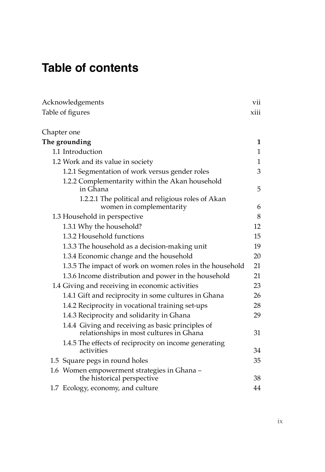# **Table of contents**

| Acknowledgements                                                                             | vii  |
|----------------------------------------------------------------------------------------------|------|
| Table of figures                                                                             | xiii |
| Chapter one                                                                                  |      |
| The grounding                                                                                | 1    |
| 1.1 Introduction                                                                             | 1    |
| 1.2 Work and its value in society                                                            | 1    |
| 1.2.1 Segmentation of work versus gender roles                                               | 3    |
| 1.2.2 Complementarity within the Akan household<br>in Ghana                                  | 5    |
| 1.2.2.1 The political and religious roles of Akan<br>women in complementarity                | 6    |
| 1.3 Household in perspective                                                                 | 8    |
| 1.3.1 Why the household?                                                                     | 12   |
| 1.3.2 Household functions                                                                    | 15   |
| 1.3.3 The household as a decision-making unit                                                | 19   |
| 1.3.4 Economic change and the household                                                      | 20   |
| 1.3.5 The impact of work on women roles in the household                                     | 21   |
| 1.3.6 Income distribution and power in the household                                         | 21   |
| 1.4 Giving and receiving in economic activities                                              | 23   |
| 1.4.1 Gift and reciprocity in some cultures in Ghana                                         | 26   |
| 1.4.2 Reciprocity in vocational training set-ups                                             | 28   |
| 1.4.3 Reciprocity and solidarity in Ghana                                                    | 29   |
| 1.4.4 Giving and receiving as basic principles of<br>relationships in most cultures in Ghana | 31   |
| 1.4.5 The effects of reciprocity on income generating<br>activities                          | 34   |
| 1.5 Square pegs in round holes                                                               | 35   |
| 1.6 Women empowerment strategies in Ghana -<br>the historical perspective                    | 38   |
| 1.7 Ecology, economy, and culture                                                            | 44   |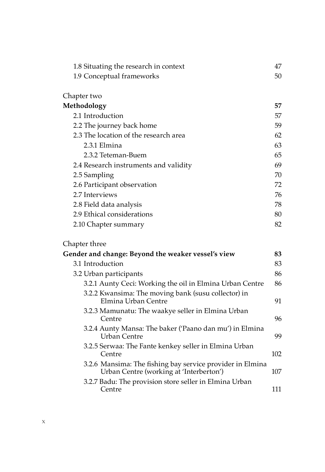| 1.8 Situating the research in context | 47 |
|---------------------------------------|----|
| 1.9 Conceptual frameworks             | 50 |
|                                       |    |
| Chapter two                           |    |
| Methodology                           | 57 |
| 2.1 Introduction                      | 57 |
| 2.2 The journey back home             | 59 |
| 2.3 The location of the research area | 62 |
| 2.3.1 Elmina                          | 63 |
| 2.3.2 Teteman-Buem                    | 65 |
| 2.4 Research instruments and validity | 69 |
| 2.5 Sampling                          | 70 |
| 2.6 Participant observation           | 72 |
| 2.7 Interviews                        | 76 |
| 2.8 Field data analysis               | 78 |
| 2.9 Ethical considerations            | 80 |
| 2.10 Chapter summary                  | 82 |
|                                       |    |

# Chapter three

| Gender and change: Beyond the weaker vessel's view                                                   | 83  |
|------------------------------------------------------------------------------------------------------|-----|
| 3.1 Introduction                                                                                     | 83  |
| 3.2 Urban participants                                                                               | 86  |
| 3.2.1 Aunty Ceci: Working the oil in Elmina Urban Centre                                             | 86  |
| 3.2.2 Kwansima: The moving bank (susu collector) in<br>Elmina Urban Centre                           | 91  |
| 3.2.3 Mamunatu: The waakye seller in Elmina Urban<br>Centre                                          | 96  |
| 3.2.4 Aunty Mansa: The baker ('Paano dan mu') in Elmina<br>Urban Centre                              | 99  |
| 3.2.5 Serwaa: The Fante kenkey seller in Elmina Urban<br>Centre                                      | 102 |
| 3.2.6 Mansima: The fishing bay service provider in Elmina<br>Urban Centre (working at 'Interberton') | 107 |
| 3.2.7 Badu: The provision store seller in Elmina Urban<br>Centre                                     | 111 |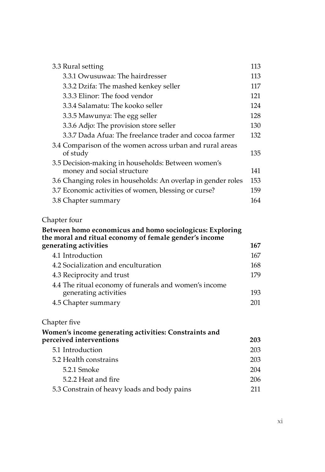| 3.3 Rural setting                                                                | 113 |
|----------------------------------------------------------------------------------|-----|
| 3.3.1 Owusuwaa: The hairdresser                                                  | 113 |
| 3.3.2 Dzifa: The mashed kenkey seller                                            | 117 |
| 3.3.3 Elinor: The food vendor                                                    | 121 |
| 3.3.4 Salamatu: The kooko seller                                                 | 124 |
| 3.3.5 Mawunya: The egg seller                                                    | 128 |
| 3.3.6 Adjo: The provision store seller                                           | 130 |
| 3.3.7 Dada Afua: The freelance trader and cocoa farmer                           | 132 |
| 3.4 Comparison of the women across urban and rural areas<br>of study             | 135 |
| 3.5 Decision-making in households: Between women's<br>money and social structure | 141 |
| 3.6 Changing roles in households: An overlap in gender roles                     | 153 |
| 3.7 Economic activities of women, blessing or curse?                             | 159 |
| 3.8 Chapter summary                                                              | 164 |

#### Chapter four

### **Between homo economicus and homo sociologicus: Exploring the moral and ritual economy of female gender's income generating activities 167** 4.1 Introduction 167 4.2 Socialization and enculturation 168 4.3 Reciprocity and trust 179 4.4 The ritual economy of funerals and women's income generating activities 193 4.5 Chapter summary 201

#### Chapter five

| Women's income generating activities: Constraints and |     |
|-------------------------------------------------------|-----|
| perceived interventions                               | 203 |
| 5.1 Introduction                                      | 203 |
| 5.2 Health constrains                                 | 203 |
| 5.2.1 Smoke                                           | 204 |
| 5.2.2 Heat and fire                                   | 206 |
| 5.3 Constrain of heavy loads and body pains           | 211 |